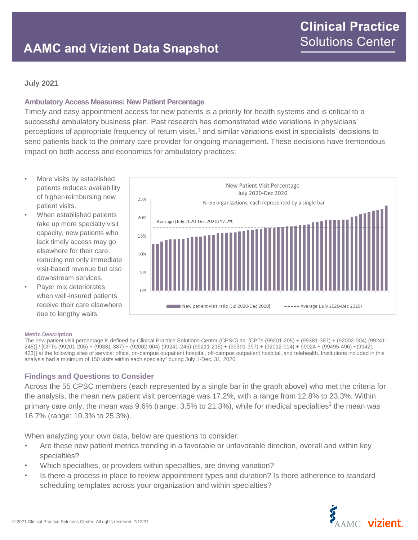## **July 2021**

### **Ambulatory Access Measures: New Patient Percentage**

Timely and easy appointment access for new patients is a priority for health systems and is critical to a successful ambulatory business plan. Past research has demonstrated wide variations in physicians' perceptions of appropriate frequency of return visits,<sup>1</sup> and similar variations exist in specialists' decisions to send patients back to the primary care provider for ongoing management. These decisions have tremendous impact on both access and economics for ambulatory practices:

- More visits by established patients reduces availability of higher-reimbursing new patient visits.
- When established patients take up more specialty visit capacity, new patients who lack timely access may go elsewhere for their care, reducing not only immediate visit-based revenue but also downstream services.
- Payer mix deteriorates when well-insured patients receive their care elsewhere due to lengthy waits.



### **Metric Description**

The new patient visit percentage is defined by Clinical Practice Solutions Center (CPSC) as: [CPTs (99201-205) + (99381-387) + (92002-004) (99241- 245)] / [CPTs (99201-205) + (99381-387) + (92002-004) (99241-245) (99211-215) + (99391-397) + (92012-014) + 99024 + (99495-496) +(99421- 423)] at the following sites of service: office, on-campus outpatient hospital, off-campus outpatient hospital, and telehealth. Institutions included in this analysis had a minimum of 150 visits within each specialty<sup>2</sup> during July 1-Dec. 31, 2020.

### **Findings and Questions to Consider**

Across the 55 CPSC members (each represented by a single bar in the graph above) who met the criteria for the analysis, the mean new patient visit percentage was 17.2%, with a range from 12.8% to 23.3%. Within primary care only, the mean was 9.6% (range: 3.5% to 21.3%), while for medical specialties<sup>3</sup> the mean was 16.7% (range: 10.3% to 25.3%).

When analyzing your own data, below are questions to consider:

- Are these new patient metrics trending in a favorable or unfavorable direction, overall and within key specialties?
- Which specialties, or providers within specialties, are driving variation?
- Is there a process in place to review appointment types and duration? Is there adherence to standard scheduling templates across your organization and within specialties?